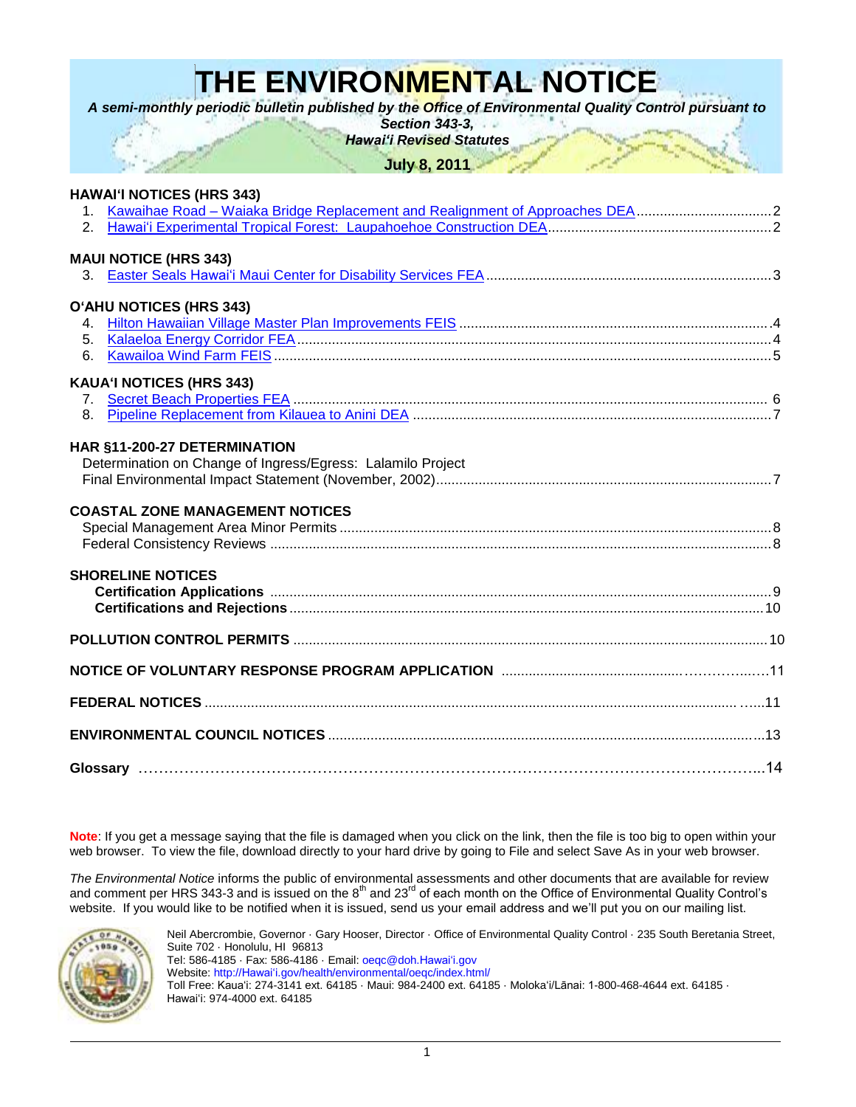# **THE ENVIRONMENTAL NOTICE**

*A semi-monthly periodic bulletin published by the Office of Environmental Quality Control pursuant to* 

*Section 343-3,*

*Hawaiʻi Revised Statutes*

**July 8, 2011**

### **HAWAIʻI NOTICES (HRS 343)**

| 2 <sub>1</sub> |                                                             |  |
|----------------|-------------------------------------------------------------|--|
|                | <b>MAUI NOTICE (HRS 343)</b>                                |  |
|                |                                                             |  |
|                |                                                             |  |
|                | O'AHU NOTICES (HRS 343)                                     |  |
|                |                                                             |  |
| 5.<br>6.       |                                                             |  |
|                |                                                             |  |
|                | <b>KAUA'I NOTICES (HRS 343)</b>                             |  |
| $7_{\cdot}$    |                                                             |  |
| 8.             |                                                             |  |
|                | HAR §11-200-27 DETERMINATION                                |  |
|                | Determination on Change of Ingress/Egress: Lalamilo Project |  |
|                |                                                             |  |
|                |                                                             |  |
|                | <b>COASTAL ZONE MANAGEMENT NOTICES</b>                      |  |
|                |                                                             |  |
|                |                                                             |  |
|                | <b>SHORELINE NOTICES</b>                                    |  |
|                |                                                             |  |
|                |                                                             |  |
|                |                                                             |  |
|                |                                                             |  |
|                |                                                             |  |
|                |                                                             |  |
|                |                                                             |  |
|                |                                                             |  |
|                |                                                             |  |
|                |                                                             |  |

**Note**: If you get a message saying that the file is damaged when you click on the link, then the file is too big to open within your web browser. To view the file, download directly to your hard drive by going to File and select Save As in your web browser.

*The Environmental Notice* informs the public of environmental assessments and other documents that are available for review and comment per HRS 343-3 and is issued on the 8<sup>th</sup> and 23<sup>rd</sup> of each month on the Office of Environmental Quality Control's website. If you would like to be notified when it is issued, send us your email address and we'll put you on our mailing list.



Neil Abercrombie, Governor · Gary Hooser, Director · Office of Environmental Quality Control · 235 South Beretania Street, Suite 702 · Honolulu, HI 96813 Tel: 586-4185 · Fax: 586-4186 · Email[: oeqc@doh.Hawaiʻi.gov](mailto:oeqc@doh.hawaii.gov) Website: [http://Hawaiʻi.gov/health/environmental/oeqc/index.html/](http://hawaii.gov/health/environmental/oeqc/index.html/) Toll Free: Kauaʻi: 274-3141 ext. 64185 · Maui: 984-2400 ext. 64185 · Molokaʻi/Lānai: 1-800-468-4644 ext. 64185 · Hawaiʻi: 974-4000 ext. 64185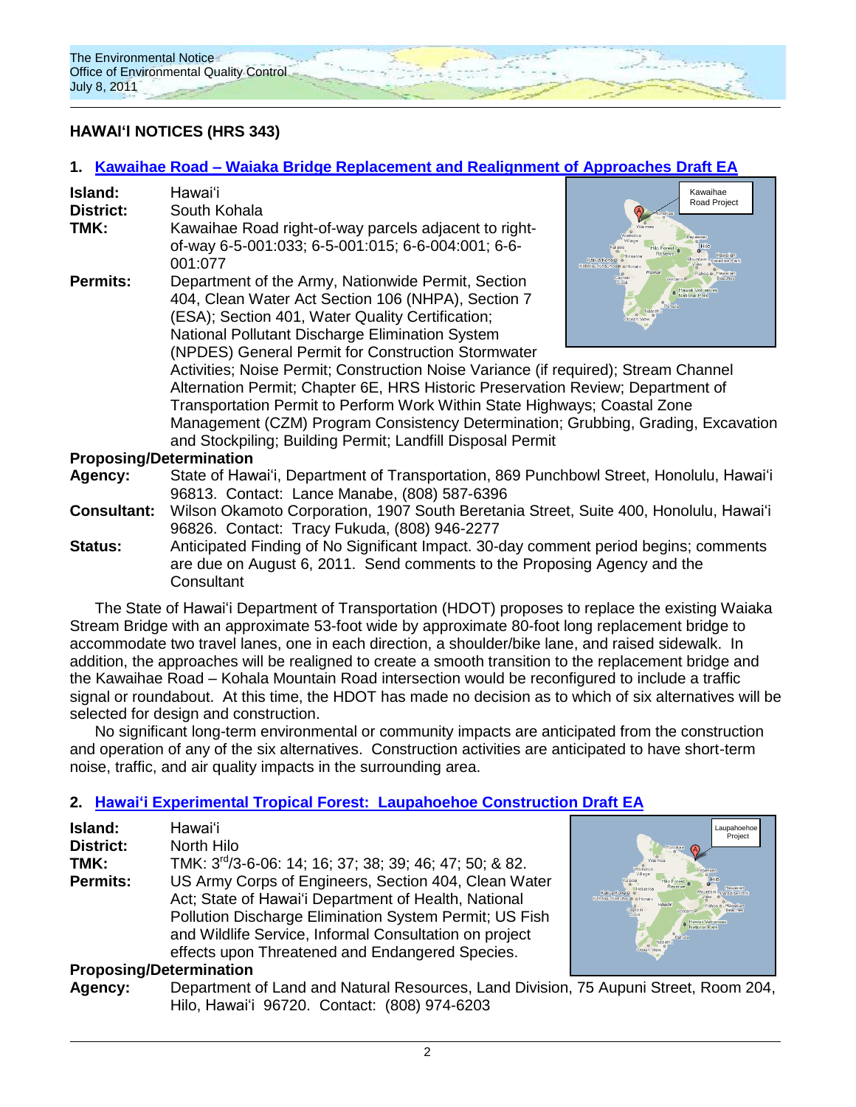

# **HAWAIʻI NOTICES (HRS 343)**

# **1. Kawaihae Road – [Waiaka Bridge Replacement and Realignment of Approaches](http://oeqc.doh.hawaii.gov/Shared%20Documents/EA_and_EIS_Online_Library/Hawaii/2010s/2011-07-08-DEA-Kawaihae-Road-Waiaka-Bridge-Repair-and-Realignment.pdf) Draft EA**

| Island:          | Hawaiʻi                                               |
|------------------|-------------------------------------------------------|
| <b>District:</b> | South Kohala                                          |
| TMK:             | Kawaihae Road right-of-way parcels adjacent to right- |
|                  | of-way 6-5-001:033; 6-5-001:015; 6-6-004:001; 6-6-    |
|                  | 001:077                                               |
| <b>Permits:</b>  | Department of the Army, Nationwide Permit, Section    |
|                  | 404, Clean Water Act Section 106 (NHPA), Section 7    |

(ESA); Section 401, Water Quality Certification; National Pollutant Discharge Elimination System (NPDES) General Permit for Construction Stormwater



Activities; Noise Permit; Construction Noise Variance (if required); Stream Channel Alternation Permit; Chapter 6E, HRS Historic Preservation Review; Department of Transportation Permit to Perform Work Within State Highways; Coastal Zone Management (CZM) Program Consistency Determination; Grubbing, Grading, Excavation and Stockpiling; Building Permit; Landfill Disposal Permit

#### **Proposing/Determination**

| Agency:            | State of Hawai'i, Department of Transportation, 869 Punchbowl Street, Honolulu, Hawai'i |
|--------------------|-----------------------------------------------------------------------------------------|
|                    | 96813. Contact: Lance Manabe, (808) 587-6396                                            |
| <b>Consultant:</b> | Wilson Okamoto Corporation, 1907 South Beretania Street, Suite 400, Honolulu, Hawai'i   |
|                    | 96826. Contact: Tracy Fukuda, (808) 946-2277                                            |
| <b>Status:</b>     | Anticipated Finding of No Significant Impact. 30-day comment period begins; comments    |

are due on August 6, 2011. Send comments to the Proposing Agency and the **Consultant** 

The State of Hawaiʻi Department of Transportation (HDOT) proposes to replace the existing Waiaka Stream Bridge with an approximate 53-foot wide by approximate 80-foot long replacement bridge to accommodate two travel lanes, one in each direction, a shoulder/bike lane, and raised sidewalk. In addition, the approaches will be realigned to create a smooth transition to the replacement bridge and the Kawaihae Road – Kohala Mountain Road intersection would be reconfigured to include a traffic signal or roundabout. At this time, the HDOT has made no decision as to which of six alternatives will be selected for design and construction.

No significant long-term environmental or community impacts are anticipated from the construction and operation of any of the six alternatives. Construction activities are anticipated to have short-term noise, traffic, and air quality impacts in the surrounding area.

# **2. Hawaiʻi [Experimental Tropical Forest: Laupahoehoe Construction](http://oeqc.doh.hawaii.gov/Shared%20Documents/EA_and_EIS_Online_Library/Hawaii/2010s/2011-07-08-DEA-Hawaii-Experimental-Tropical-Forest-Laupahoehoe-Construction.pdf) Draft EA**

| Island:                        | Hawai'i                                                             |
|--------------------------------|---------------------------------------------------------------------|
| <b>District:</b>               | North Hilo                                                          |
| TMK:                           | TMK: 3 <sup>rd</sup> /3-6-06: 14; 16; 37; 38; 39; 46; 47; 50; & 82. |
| <b>Permits:</b>                | US Army Corps of Engineers, Section 404, Clean Water                |
|                                | Act; State of Hawai'i Department of Health, National                |
|                                | Pollution Discharge Elimination System Permit; US Fish              |
|                                | and Wildlife Service, Informal Consultation on project              |
|                                | effects upon Threatened and Endangered Species.                     |
| <b>Pronosing/Determination</b> |                                                                     |



### **Proposing/Determination**

**Agency:** Department of Land and Natural Resources, Land Division, 75 Aupuni Street, Room 204, Hilo, Hawaiʻi 96720. Contact: (808) 974-6203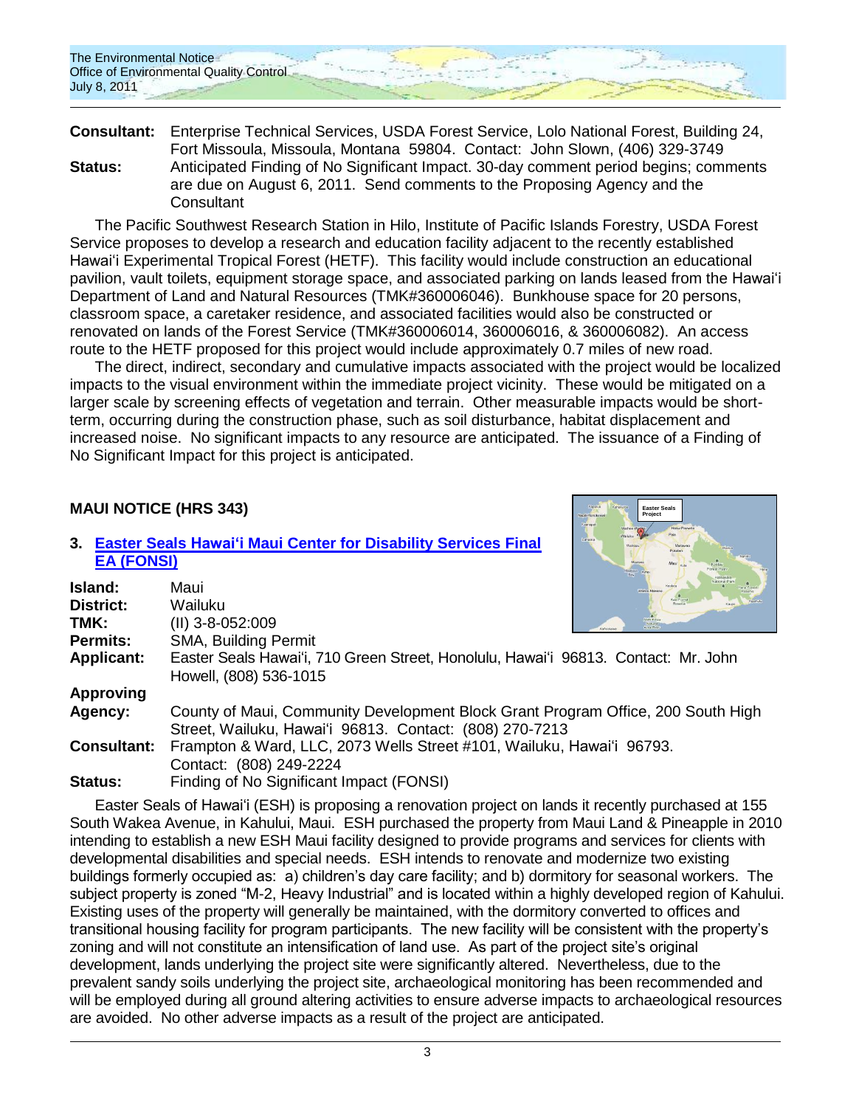**Consultant:** Enterprise Technical Services, USDA Forest Service, Lolo National Forest, Building 24, Fort Missoula, Missoula, Montana 59804. Contact: John Slown, (406) 329-3749 **Status:** Anticipated Finding of No Significant Impact. 30-day comment period begins; comments are due on August 6, 2011. Send comments to the Proposing Agency and the **Consultant** 

The Pacific Southwest Research Station in Hilo, Institute of Pacific Islands Forestry, USDA Forest Service proposes to develop a research and education facility adjacent to the recently established Hawaiʻi Experimental Tropical Forest (HETF). This facility would include construction an educational pavilion, vault toilets, equipment storage space, and associated parking on lands leased from the Hawaiʻi Department of Land and Natural Resources (TMK#360006046). Bunkhouse space for 20 persons, classroom space, a caretaker residence, and associated facilities would also be constructed or renovated on lands of the Forest Service (TMK#360006014, 360006016, & 360006082). An access route to the HETF proposed for this project would include approximately 0.7 miles of new road.

The direct, indirect, secondary and cumulative impacts associated with the project would be localized impacts to the visual environment within the immediate project vicinity. These would be mitigated on a larger scale by screening effects of vegetation and terrain. Other measurable impacts would be shortterm, occurring during the construction phase, such as soil disturbance, habitat displacement and increased noise. No significant impacts to any resource are anticipated. The issuance of a Finding of No Significant Impact for this project is anticipated.

> **Easter Seals Project**

# **MAUI NOTICE (HRS 343)**

### **3. Easter Seals Hawaiʻi [Maui Center for Disability Services](http://oeqc.doh.hawaii.gov/Shared%20Documents/EA_and_EIS_Online_Library/Maui/2010s/2011-07-08-FEA-Easter-Seals-Hawaii-Maui-Center-for-Disability-Services.pdf) Final [EA \(FONSI\)](http://oeqc.doh.hawaii.gov/Shared%20Documents/EA_and_EIS_Online_Library/Maui/2010s/2011-07-08-FEA-Easter-Seals-Hawaii-Maui-Center-for-Disability-Services.pdf)**

| Island:            | Maui<br>Wikipa Makers                                                                                                                       |
|--------------------|---------------------------------------------------------------------------------------------------------------------------------------------|
| District:          | Wailuku                                                                                                                                     |
| TMK:               | (II) 3-8-052:009                                                                                                                            |
| <b>Permits:</b>    | <b>SMA, Building Permit</b>                                                                                                                 |
| <b>Applicant:</b>  | Easter Seals Hawai'i, 710 Green Street, Honolulu, Hawai'i 96813. Contact: Mr. John<br>Howell, (808) 536-1015                                |
| <b>Approving</b>   |                                                                                                                                             |
| Agency:            | County of Maui, Community Development Block Grant Program Office, 200 South High<br>Street, Wailuku, Hawai'i 96813. Contact: (808) 270-7213 |
| <b>Consultant:</b> | Frampton & Ward, LLC, 2073 Wells Street #101, Wailuku, Hawai'i 96793.<br>Contact: (808) 249-2224                                            |
| Status:            | Finding of No Significant Impact (FONSI)                                                                                                    |

Easter Seals of Hawaiʻi (ESH) is proposing a renovation project on lands it recently purchased at 155 South Wakea Avenue, in Kahului, Maui. ESH purchased the property from Maui Land & Pineapple in 2010 intending to establish a new ESH Maui facility designed to provide programs and services for clients with developmental disabilities and special needs. ESH intends to renovate and modernize two existing buildings formerly occupied as: a) children's day care facility; and b) dormitory for seasonal workers. The subject property is zoned "M-2, Heavy Industrial" and is located within a highly developed region of Kahului. Existing uses of the property will generally be maintained, with the dormitory converted to offices and transitional housing facility for program participants. The new facility will be consistent with the property's zoning and will not constitute an intensification of land use. As part of the project site's original development, lands underlying the project site were significantly altered. Nevertheless, due to the prevalent sandy soils underlying the project site, archaeological monitoring has been recommended and will be employed during all ground altering activities to ensure adverse impacts to archaeological resources are avoided. No other adverse impacts as a result of the project are anticipated.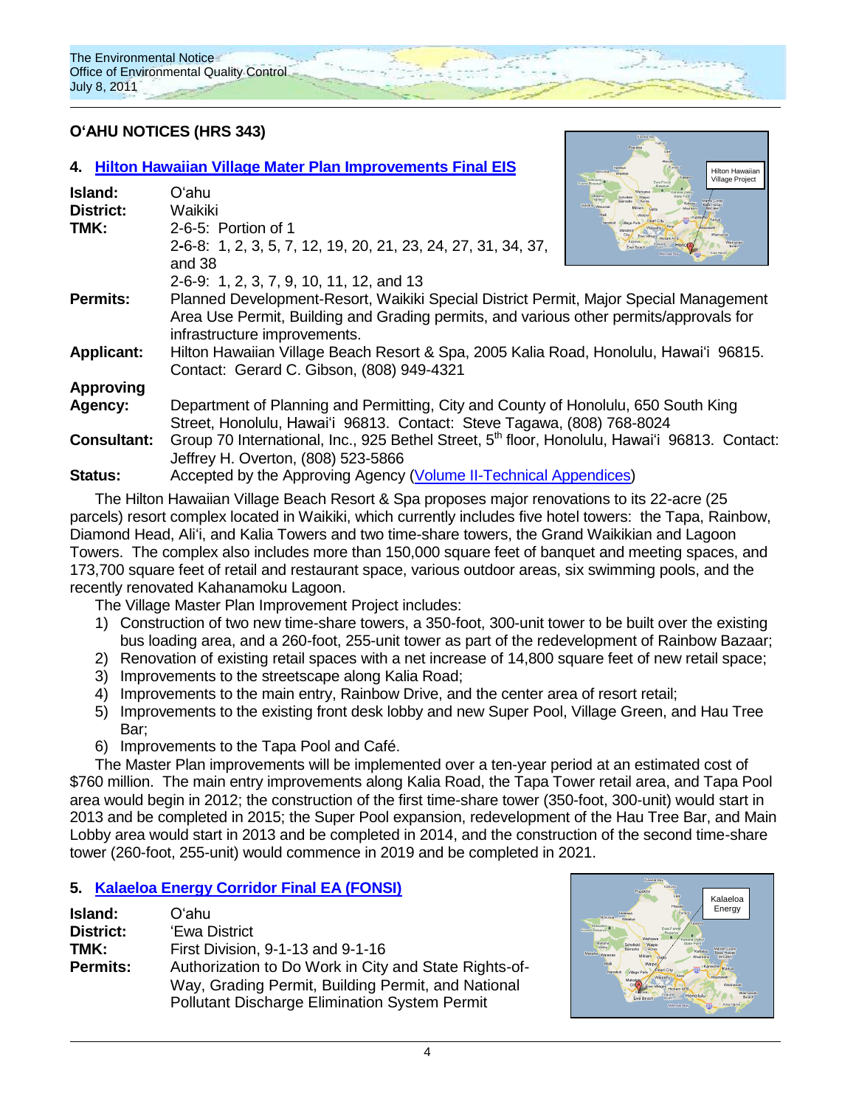

# **OʻAHU NOTICES (HRS 343)**

|         |                    | 4. Hilton Hawaiian Village Mater Plan Improvements Final EIS                                              | <b>Hilton Hawaiian</b><br><b>Village Project</b> |
|---------|--------------------|-----------------------------------------------------------------------------------------------------------|--------------------------------------------------|
| Island: |                    | Oʻahu                                                                                                     |                                                  |
|         | <b>District:</b>   | Waikiki                                                                                                   |                                                  |
| TMK:    |                    | 2-6-5: Portion of 1                                                                                       |                                                  |
|         |                    | 2-6-8: 1, 2, 3, 5, 7, 12, 19, 20, 21, 23, 24, 27, 31, 34, 37,                                             |                                                  |
|         |                    | and 38                                                                                                    |                                                  |
|         |                    | 2-6-9: 1, 2, 3, 7, 9, 10, 11, 12, and 13                                                                  |                                                  |
|         | <b>Permits:</b>    | Planned Development-Resort, Waikiki Special District Permit, Major Special Management                     |                                                  |
|         |                    | Area Use Permit, Building and Grading permits, and various other permits/approvals for                    |                                                  |
|         |                    | infrastructure improvements.                                                                              |                                                  |
|         | <b>Applicant:</b>  | Hilton Hawaiian Village Beach Resort & Spa, 2005 Kalia Road, Honolulu, Hawai'i 96815.                     |                                                  |
|         |                    | Contact: Gerard C. Gibson, (808) 949-4321                                                                 |                                                  |
|         | <b>Approving</b>   |                                                                                                           |                                                  |
|         | Agency:            | Department of Planning and Permitting, City and County of Honolulu, 650 South King                        |                                                  |
|         |                    | Street, Honolulu, Hawai'i 96813. Contact: Steve Tagawa, (808) 768-8024                                    |                                                  |
|         | <b>Consultant:</b> | Group 70 International, Inc., 925 Bethel Street, 5 <sup>th</sup> floor, Honolulu, Hawai'i 96813. Contact: |                                                  |
|         |                    | Jeffrey H. Overton, (808) 523-5866                                                                        |                                                  |
| Status: |                    | Accepted by the Approving Agency (Volume II-Technical Appendices)                                         |                                                  |

The Hilton Hawaiian Village Beach Resort & Spa proposes major renovations to its 22-acre (25 parcels) resort complex located in Waikiki, which currently includes five hotel towers: the Tapa, Rainbow, Diamond Head, Aliʻi, and Kalia Towers and two time-share towers, the Grand Waikikian and Lagoon Towers. The complex also includes more than 150,000 square feet of banquet and meeting spaces, and 173,700 square feet of retail and restaurant space, various outdoor areas, six swimming pools, and the recently renovated Kahanamoku Lagoon.

The Village Master Plan Improvement Project includes:

- 1) Construction of two new time-share towers, a 350-foot, 300-unit tower to be built over the existing bus loading area, and a 260-foot, 255-unit tower as part of the redevelopment of Rainbow Bazaar;
- 2) Renovation of existing retail spaces with a net increase of 14,800 square feet of new retail space;
- 3) Improvements to the streetscape along Kalia Road;
- 4) Improvements to the main entry, Rainbow Drive, and the center area of resort retail;
- 5) Improvements to the existing front desk lobby and new Super Pool, Village Green, and Hau Tree Bar;
- 6) Improvements to the Tapa Pool and Café.

The Master Plan improvements will be implemented over a ten-year period at an estimated cost of \$760 million. The main entry improvements along Kalia Road, the Tapa Tower retail area, and Tapa Pool area would begin in 2012; the construction of the first time-share tower (350-foot, 300-unit) would start in 2013 and be completed in 2015; the Super Pool expansion, redevelopment of the Hau Tree Bar, and Main Lobby area would start in 2013 and be completed in 2014, and the construction of the second time-share tower (260-foot, 255-unit) would commence in 2019 and be completed in 2021.

# **5. [Kalaeloa Energy Corridor](http://oeqc.doh.hawaii.gov/Shared%20Documents/EA_and_EIS_Online_Library/Oahu/2010s/2011-07-08-FEA-Kalaeloa-Energy-Corridor.pdf) Final EA (FONSI)**

| Island:          | Oʻahu                                                                                                                                                               |
|------------------|---------------------------------------------------------------------------------------------------------------------------------------------------------------------|
| <b>District:</b> | 'Ewa District                                                                                                                                                       |
| TMK:             | First Division, 9-1-13 and 9-1-16                                                                                                                                   |
| <b>Permits:</b>  | Authorization to Do Work in City and State Rights-of-<br>Way, Grading Permit, Building Permit, and National<br><b>Pollutant Discharge Elimination System Permit</b> |

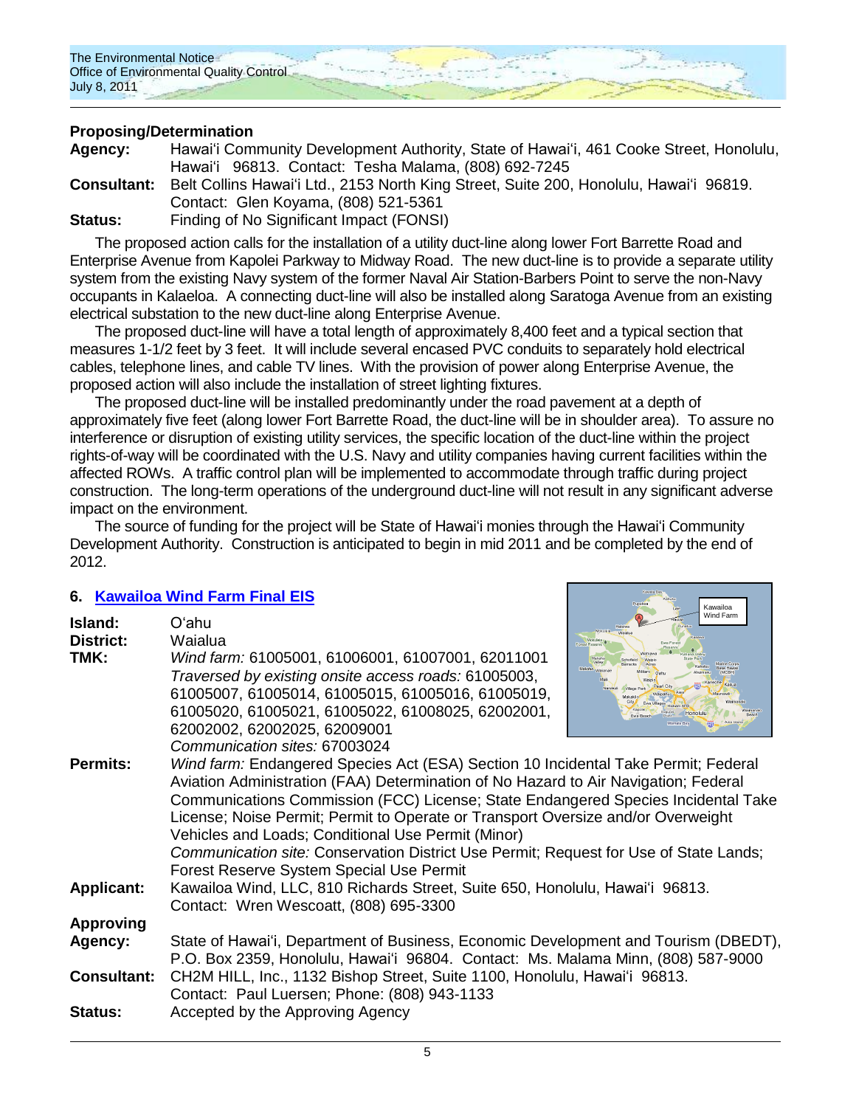

# **Proposing/Determination**

**Agency:** Hawaiʻi Community Development Authority, State of Hawaiʻi, 461 Cooke Street, Honolulu, Hawaiʻi 96813. Contact: Tesha Malama, (808) 692-7245 **Consultant:** Belt Collins Hawaiʻi Ltd., 2153 North King Street, Suite 200, Honolulu, Hawaiʻi 96819. Contact: Glen Koyama, (808) 521-5361 **Status:** Finding of No Significant Impact (FONSI)

The proposed action calls for the installation of a utility duct-line along lower Fort Barrette Road and Enterprise Avenue from Kapolei Parkway to Midway Road. The new duct-line is to provide a separate utility system from the existing Navy system of the former Naval Air Station-Barbers Point to serve the non-Navy occupants in Kalaeloa. A connecting duct-line will also be installed along Saratoga Avenue from an existing electrical substation to the new duct-line along Enterprise Avenue.

The proposed duct-line will have a total length of approximately 8,400 feet and a typical section that measures 1-1/2 feet by 3 feet. It will include several encased PVC conduits to separately hold electrical cables, telephone lines, and cable TV lines. With the provision of power along Enterprise Avenue, the proposed action will also include the installation of street lighting fixtures.

The proposed duct-line will be installed predominantly under the road pavement at a depth of approximately five feet (along lower Fort Barrette Road, the duct-line will be in shoulder area). To assure no interference or disruption of existing utility services, the specific location of the duct-line within the project rights-of-way will be coordinated with the U.S. Navy and utility companies having current facilities within the affected ROWs. A traffic control plan will be implemented to accommodate through traffic during project construction. The long-term operations of the underground duct-line will not result in any significant adverse impact on the environment.

The source of funding for the project will be State of Hawaiʻi monies through the Hawaiʻi Community Development Authority. Construction is anticipated to begin in mid 2011 and be completed by the end of 2012.

# **6. [Kawailoa Wind Farm Final EIS](http://oeqc.doh.hawaii.gov/Shared%20Documents/EA_and_EIS_Online_Library/Oahu/2010s/2011-07-08-FEIS-Kawailoa-Wind-Farm.pdf)**

| Island:<br><b>District:</b><br>TMK:                                 | O'ahu<br>Waialua<br>Wind farm: 61005001, 61006001, 61007001, 62011001<br>Traversed by existing onsite access roads: 61005003,<br>61005007, 61005014, 61005015, 61005016, 61005019,<br>61005020, 61005021, 61005022, 61008025, 62002001,<br>62002002, 62002025, 62009001                                                                                                                                                                                                                                                                                                                                                                                        | Kawailoa<br>Wind Farm<br>Makahi<br><b><i>Aarme Corps</i></b><br>Pearl Cit<br><b>Village Part</b><br>Honolulu |
|---------------------------------------------------------------------|----------------------------------------------------------------------------------------------------------------------------------------------------------------------------------------------------------------------------------------------------------------------------------------------------------------------------------------------------------------------------------------------------------------------------------------------------------------------------------------------------------------------------------------------------------------------------------------------------------------------------------------------------------------|--------------------------------------------------------------------------------------------------------------|
| <b>Permits:</b><br><b>Applicant:</b>                                | Communication sites: 67003024<br>Wind farm: Endangered Species Act (ESA) Section 10 Incidental Take Permit; Federal<br>Aviation Administration (FAA) Determination of No Hazard to Air Navigation; Federal<br>Communications Commission (FCC) License; State Endangered Species Incidental Take<br>License; Noise Permit; Permit to Operate or Transport Oversize and/or Overweight<br>Vehicles and Loads; Conditional Use Permit (Minor)<br>Communication site: Conservation District Use Permit; Request for Use of State Lands;<br>Forest Reserve System Special Use Permit<br>Kawailoa Wind, LLC, 810 Richards Street, Suite 650, Honolulu, Hawai'i 96813. |                                                                                                              |
|                                                                     | Contact: Wren Wescoatt, (808) 695-3300                                                                                                                                                                                                                                                                                                                                                                                                                                                                                                                                                                                                                         |                                                                                                              |
| <b>Approving</b><br>Agency:<br><b>Consultant:</b><br><b>Status:</b> | State of Hawai'i, Department of Business, Economic Development and Tourism (DBEDT),<br>P.O. Box 2359, Honolulu, Hawai'i 96804. Contact: Ms. Malama Minn, (808) 587-9000<br>CH2M HILL, Inc., 1132 Bishop Street, Suite 1100, Honolulu, Hawai'i 96813.<br>Contact: Paul Luersen; Phone: (808) 943-1133<br>Accepted by the Approving Agency                                                                                                                                                                                                                                                                                                                       |                                                                                                              |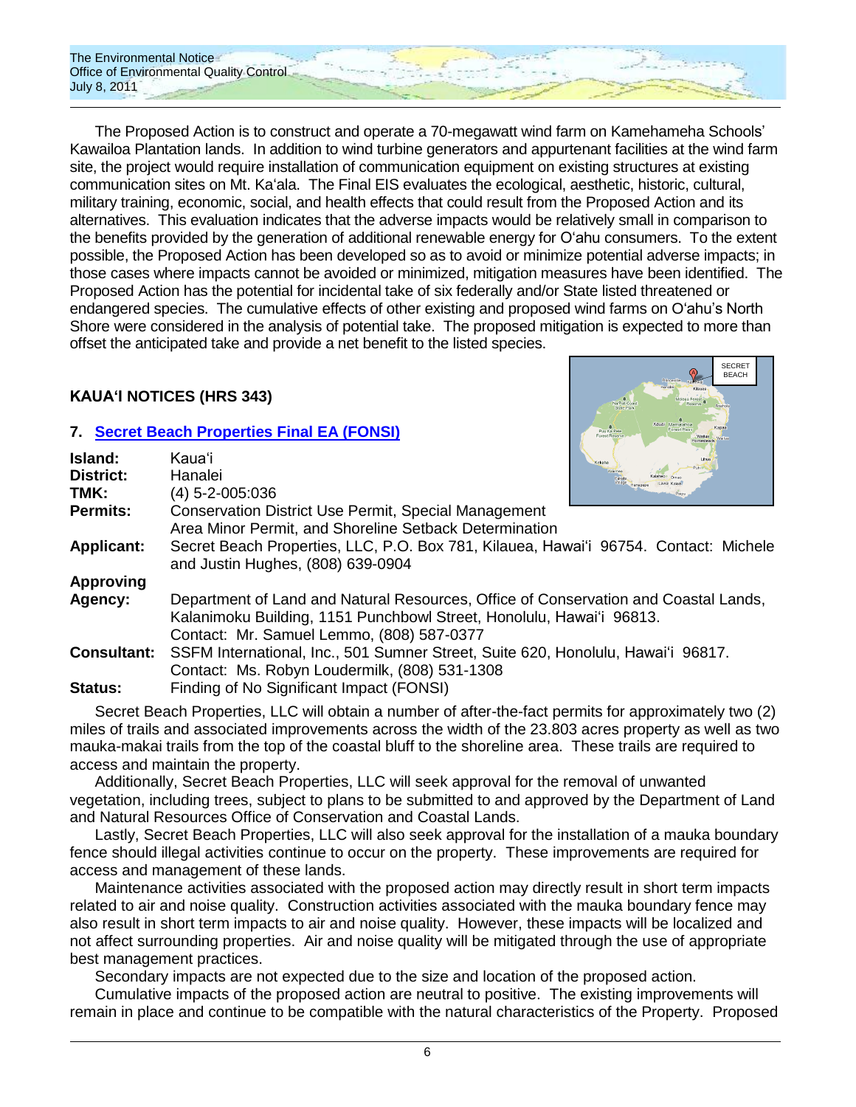The Environmental Notice Office of Environmental Quality Control July 8, 2011

The Proposed Action is to construct and operate a 70-megawatt wind farm on Kamehameha Schools' Kawailoa Plantation lands. In addition to wind turbine generators and appurtenant facilities at the wind farm site, the project would require installation of communication equipment on existing structures at existing communication sites on Mt. Kaʻala. The Final EIS evaluates the ecological, aesthetic, historic, cultural, military training, economic, social, and health effects that could result from the Proposed Action and its alternatives. This evaluation indicates that the adverse impacts would be relatively small in comparison to the benefits provided by the generation of additional renewable energy for Oʻahu consumers. To the extent possible, the Proposed Action has been developed so as to avoid or minimize potential adverse impacts; in those cases where impacts cannot be avoided or minimized, mitigation measures have been identified. The Proposed Action has the potential for incidental take of six federally and/or State listed threatened or endangered species. The cumulative effects of other existing and proposed wind farms on Oʻahu's North Shore were considered in the analysis of potential take. The proposed mitigation is expected to more than offset the anticipated take and provide a net benefit to the listed species.

# **KAUAʻI NOTICES (HRS 343)**

**Island:** Kauaʻi

# **7. Secret Beach [Properties Final EA \(FONSI\)](http://oeqc.doh.hawaii.gov/Shared%20Documents/EA_and_EIS_Online_Library/Kauai/2010s/2011-07-08-FEA-Secret-Beach-Properties.pdf)**



|                    |                                                                                      | <b>Kekana</b> |
|--------------------|--------------------------------------------------------------------------------------|---------------|
| District:          | Hanalei                                                                              |               |
| TMK:               | (4) 5-2-005:036                                                                      |               |
| <b>Permits:</b>    | Conservation District Use Permit, Special Management                                 |               |
|                    | Area Minor Permit, and Shoreline Setback Determination                               |               |
| <b>Applicant:</b>  | Secret Beach Properties, LLC, P.O. Box 781, Kilauea, Hawai'i 96754. Contact: Michele |               |
|                    | and Justin Hughes, (808) 639-0904                                                    |               |
| <b>Approving</b>   |                                                                                      |               |
| Agency:            | Department of Land and Natural Resources, Office of Conservation and Coastal Lands,  |               |
|                    | Kalanimoku Building, 1151 Punchbowl Street, Honolulu, Hawai'i 96813.                 |               |
|                    | Contact: Mr. Samuel Lemmo, (808) 587-0377                                            |               |
| <b>Consultant:</b> | SSFM International, Inc., 501 Sumner Street, Suite 620, Honolulu, Hawai'i 96817.     |               |
|                    | Contact: Ms. Robyn Loudermilk, (808) 531-1308                                        |               |
| Status:            | Finding of No Significant Impact (FONSI)                                             |               |

Secret Beach Properties, LLC will obtain a number of after-the-fact permits for approximately two (2) miles of trails and associated improvements across the width of the 23.803 acres property as well as two mauka-makai trails from the top of the coastal bluff to the shoreline area. These trails are required to access and maintain the property.

Additionally, Secret Beach Properties, LLC will seek approval for the removal of unwanted vegetation, including trees, subject to plans to be submitted to and approved by the Department of Land and Natural Resources Office of Conservation and Coastal Lands.

Lastly, Secret Beach Properties, LLC will also seek approval for the installation of a mauka boundary fence should illegal activities continue to occur on the property. These improvements are required for access and management of these lands.

Maintenance activities associated with the proposed action may directly result in short term impacts related to air and noise quality. Construction activities associated with the mauka boundary fence may also result in short term impacts to air and noise quality. However, these impacts will be localized and not affect surrounding properties. Air and noise quality will be mitigated through the use of appropriate best management practices.

Secondary impacts are not expected due to the size and location of the proposed action.

Cumulative impacts of the proposed action are neutral to positive. The existing improvements will remain in place and continue to be compatible with the natural characteristics of the Property. Proposed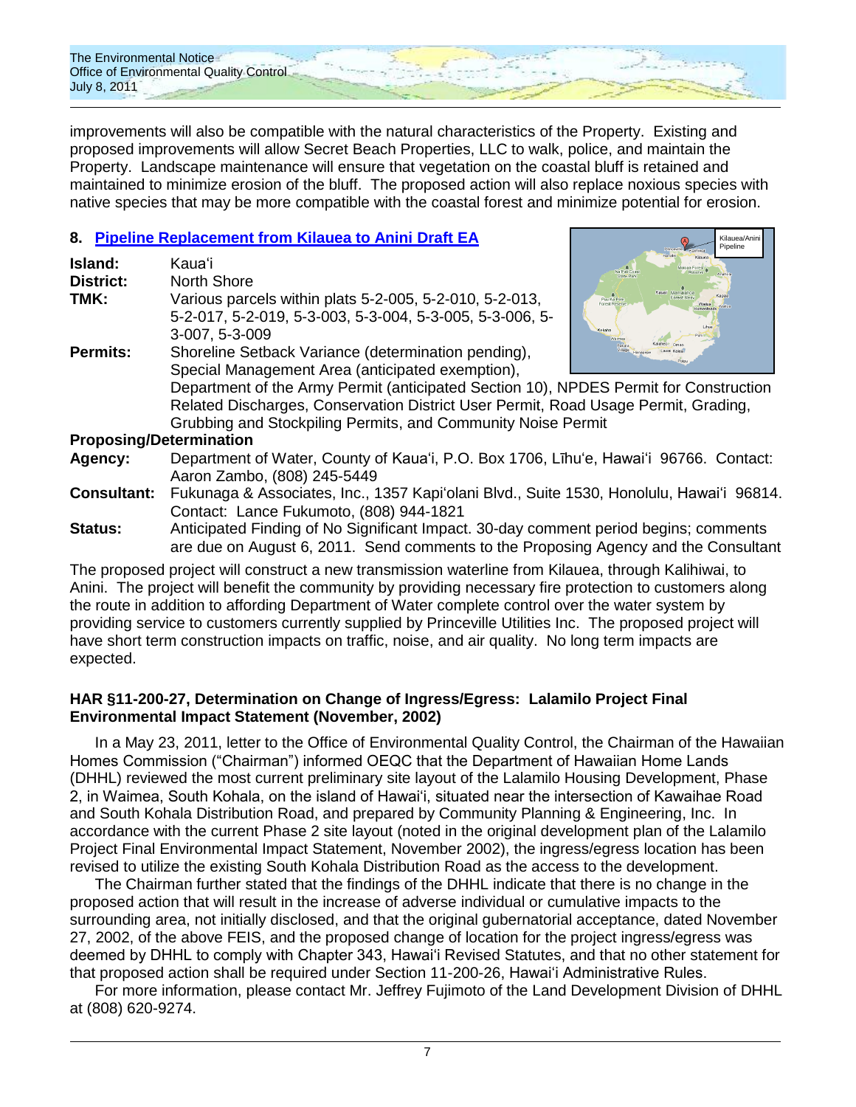

improvements will also be compatible with the natural characteristics of the Property. Existing and proposed improvements will allow Secret Beach Properties, LLC to walk, police, and maintain the Property. Landscape maintenance will ensure that vegetation on the coastal bluff is retained and maintained to minimize erosion of the bluff. The proposed action will also replace noxious species with native species that may be more compatible with the coastal forest and minimize potential for erosion.

Kilauea/Anini Pipeline

# **8. [Pipeline Replacement from Kilauea to Anini](http://oeqc.doh.hawaii.gov/Shared%20Documents/EA_and_EIS_Online_Library/Kauai/2010s/2011-07-08-DEA-Kilauea-to-Anini-Pipeline-Replacement.pdf) Draft EA**

| Island:<br><b>District:</b>    | Kaua'i<br>North Shore                                                                                                                                                                                                                                                                                                                                  |                                                                     |
|--------------------------------|--------------------------------------------------------------------------------------------------------------------------------------------------------------------------------------------------------------------------------------------------------------------------------------------------------------------------------------------------------|---------------------------------------------------------------------|
| TMK:                           | Various parcels within plats 5-2-005, 5-2-010, 5-2-013,<br>5-2-017, 5-2-019, 5-3-003, 5-3-004, 5-3-005, 5-3-006, 5-<br>3-007, 5-3-009                                                                                                                                                                                                                  | Kauai Mamalahoa<br>Kapaa<br>Puu Ka Pele<br>Forest Reserve<br>Kekaha |
| <b>Permits:</b>                | Shoreline Setback Variance (determination pending),<br>Special Management Area (anticipated exemption),<br>Department of the Army Permit (anticipated Section 10), NPDES Permit for Construction<br>Related Discharges, Conservation District User Permit, Road Usage Permit, Grading,<br>Grubbing and Stockpiling Permits, and Community Noise Permit |                                                                     |
| <b>Proposing/Determination</b> |                                                                                                                                                                                                                                                                                                                                                        |                                                                     |
| Agency:                        | Department of Water, County of Kaua'i, P.O. Box 1706, Līhu'e, Hawai'i 96766. Contact:<br>Aaron Zambo, (808) 245-5449                                                                                                                                                                                                                                   |                                                                     |
| <b>Consultant:</b>             | Fukunaga & Associates, Inc., 1357 Kapi'olani Blvd., Suite 1530, Honolulu, Hawai'i 96814.<br>Contact: Lance Fukumoto, (808) 944-1821                                                                                                                                                                                                                    |                                                                     |

**Status:** Anticipated Finding of No Significant Impact. 30-day comment period begins; comments are due on August 6, 2011. Send comments to the Proposing Agency and the Consultant

The proposed project will construct a new transmission waterline from Kilauea, through Kalihiwai, to Anini. The project will benefit the community by providing necessary fire protection to customers along the route in addition to affording Department of Water complete control over the water system by providing service to customers currently supplied by Princeville Utilities Inc. The proposed project will have short term construction impacts on traffic, noise, and air quality. No long term impacts are expected.

### **HAR §11-200-27, Determination on Change of Ingress/Egress: Lalamilo Project Final Environmental Impact Statement (November, 2002)**

In a May 23, 2011, letter to the Office of Environmental Quality Control, the Chairman of the Hawaiian Homes Commission ("Chairman") informed OEQC that the Department of Hawaiian Home Lands (DHHL) reviewed the most current preliminary site layout of the Lalamilo Housing Development, Phase 2, in Waimea, South Kohala, on the island of Hawai‗i, situated near the intersection of Kawaihae Road and South Kohala Distribution Road, and prepared by Community Planning & Engineering, Inc. In accordance with the current Phase 2 site layout (noted in the original development plan of the Lalamilo Project Final Environmental Impact Statement, November 2002), the ingress/egress location has been revised to utilize the existing South Kohala Distribution Road as the access to the development.

The Chairman further stated that the findings of the DHHL indicate that there is no change in the proposed action that will result in the increase of adverse individual or cumulative impacts to the surrounding area, not initially disclosed, and that the original gubernatorial acceptance, dated November 27, 2002, of the above FEIS, and the proposed change of location for the project ingress/egress was deemed by DHHL to comply with Chapter 343, Hawai'i Revised Statutes, and that no other statement for that proposed action shall be required under Section 11-200-26, Hawai'i Administrative Rules.

For more information, please contact Mr. Jeffrey Fujimoto of the Land Development Division of DHHL at (808) 620-9274.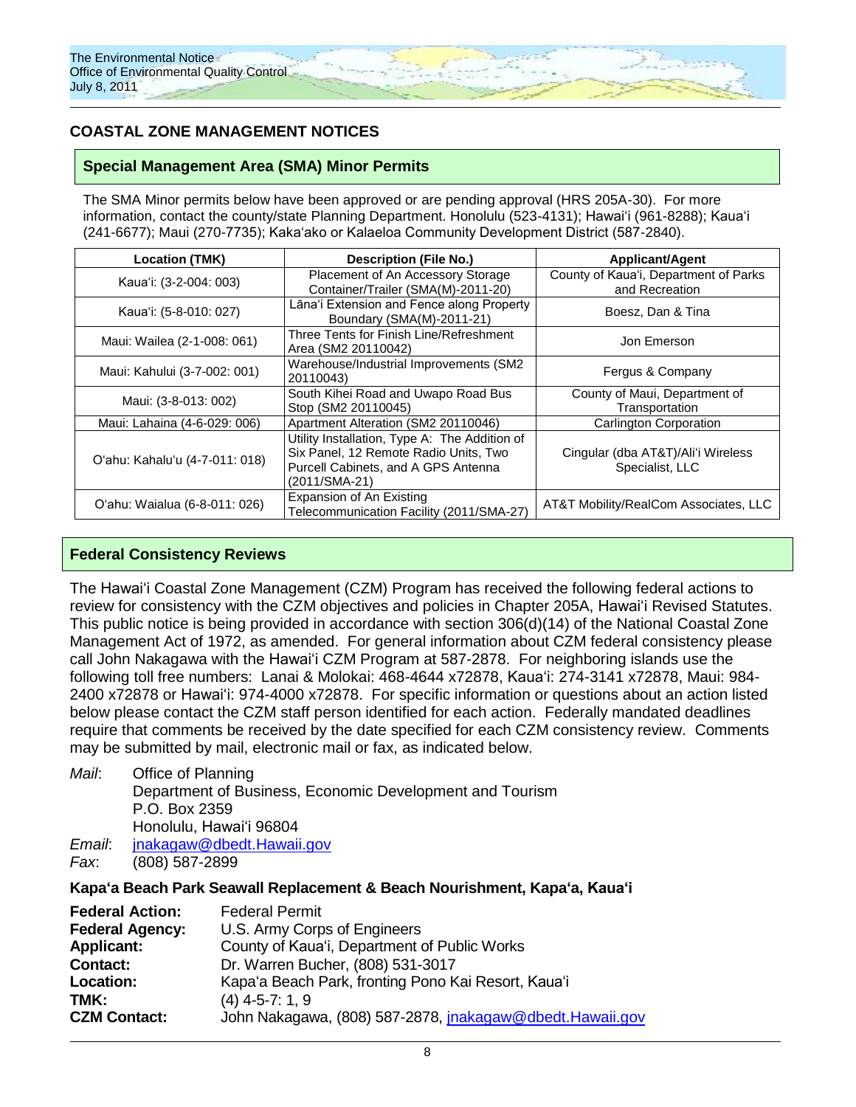# **COASTAL ZONE MANAGEMENT NOTICES**

### **Special Management Area (SMA) Minor Permits**

The SMA Minor permits below have been approved or are pending approval (HRS 205A-30). For more information, contact the county/state Planning Department. Honolulu (523-4131); Hawaiʻi (961-8288); Kauaʻi (241-6677); Maui (270-7735); Kaka‗ako or Kalaeloa Community Development District (587-2840).

| <b>Location (TMK)</b>          | <b>Description (File No.)</b>                                                                                                                  | <b>Applicant/Agent</b>                                  |
|--------------------------------|------------------------------------------------------------------------------------------------------------------------------------------------|---------------------------------------------------------|
| Kaua'i: (3-2-004: 003)         | Placement of An Accessory Storage<br>Container/Trailer (SMA(M)-2011-20)                                                                        | County of Kaua'i, Department of Parks<br>and Recreation |
| Kaua'i: (5-8-010: 027)         | Lāna'i Extension and Fence along Property<br>Boundary (SMA(M)-2011-21)                                                                         | Boesz, Dan & Tina                                       |
| Maui: Wailea (2-1-008: 061)    | Three Tents for Finish Line/Refreshment<br>Area (SM2 20110042)                                                                                 | Jon Emerson                                             |
| Maui: Kahului (3-7-002: 001)   | Warehouse/Industrial Improvements (SM2<br>20110043)                                                                                            | Fergus & Company                                        |
| Maui: (3-8-013: 002)           | South Kihei Road and Uwapo Road Bus<br>Stop (SM2 20110045)                                                                                     | County of Maui, Department of<br>Transportation         |
| Maui: Lahaina (4-6-029: 006)   | Apartment Alteration (SM2 20110046)                                                                                                            | Carlington Corporation                                  |
| O'ahu: Kahalu'u (4-7-011: 018) | Utility Installation, Type A: The Addition of<br>Six Panel, 12 Remote Radio Units, Two<br>Purcell Cabinets, and A GPS Antenna<br>(2011/SMA-21) | Cingular (dba AT&T)/Ali'i Wireless<br>Specialist, LLC   |
| O'ahu: Waialua (6-8-011: 026)  | Expansion of An Existing<br>Telecommunication Facility (2011/SMA-27)                                                                           | AT&T Mobility/RealCom Associates, LLC                   |

### **Federal Consistency Reviews**

The Hawaiʻi Coastal Zone Management (CZM) Program has received the following federal actions to review for consistency with the CZM objectives and policies in Chapter 205A, Hawaiʻi Revised Statutes. This public notice is being provided in accordance with section 306(d)(14) of the National Coastal Zone Management Act of 1972, as amended. For general information about CZM federal consistency please call John Nakagawa with the Hawaiʻi CZM Program at 587-2878. For neighboring islands use the following toll free numbers: Lanai & Molokai: 468-4644 x72878, Kauaʻi: 274-3141 x72878, Maui: 984- 2400 x72878 or Hawaiʻi: 974-4000 x72878. For specific information or questions about an action listed below please contact the CZM staff person identified for each action. Federally mandated deadlines require that comments be received by the date specified for each CZM consistency review. Comments may be submitted by mail, electronic mail or fax, as indicated below.

*Mail*: Office of Planning Department of Business, Economic Development and Tourism P.O. Box 2359 Honolulu, Hawaiʻi 96804 *Email*: [jnakagaw@dbedt.Hawaii.gov](mailto:jnakagaw@dbedt.Hawaii.gov) *Fax*: (808) 587-2899

**Kapaʻa Beach Park Seawall Replacement & Beach Nourishment, Kapaʻa, Kauaʻi**

| <b>Federal Action:</b> | <b>Federal Permit</b>                                    |
|------------------------|----------------------------------------------------------|
| <b>Federal Agency:</b> | U.S. Army Corps of Engineers                             |
| <b>Applicant:</b>      | County of Kaua'i, Department of Public Works             |
| <b>Contact:</b>        | Dr. Warren Bucher, (808) 531-3017                        |
| Location:              | Kapa'a Beach Park, fronting Pono Kai Resort, Kaua'i      |
| TMK:                   | $(4)$ 4-5-7: 1, 9                                        |
| <b>CZM Contact:</b>    | John Nakagawa, (808) 587-2878, jnakagaw@dbedt.Hawaii.gov |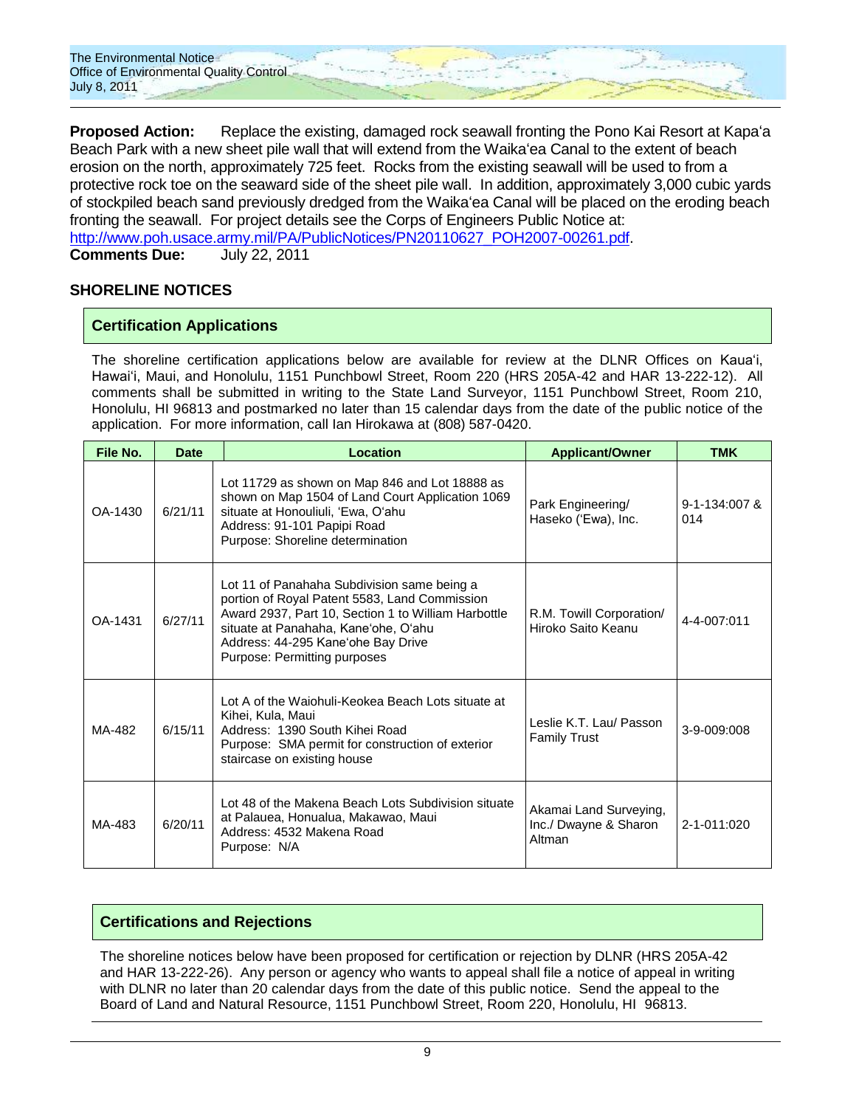

**Proposed Action:** Replace the existing, damaged rock seawall fronting the Pono Kai Resort at Kapaʻa Beach Park with a new sheet pile wall that will extend from the Waikaʻea Canal to the extent of beach erosion on the north, approximately 725 feet. Rocks from the existing seawall will be used to from a protective rock toe on the seaward side of the sheet pile wall. In addition, approximately 3,000 cubic yards of stockpiled beach sand previously dredged from the Waikaʻea Canal will be placed on the eroding beach fronting the seawall. For project details see the Corps of Engineers Public Notice at: [http://www.poh.usace.army.mil/PA/PublicNotices/PN20110627\\_POH2007-00261.pdf.](http://www.poh.usace.army.mil/PA/PublicNotices/PN20110627_POH2007-00261.pdf) **Comments Due:** July 22, 2011

### **SHORELINE NOTICES**

### **Certification Applications**

The shoreline certification applications below are available for review at the DLNR Offices on Kauaʻi, Hawaiʻi, Maui, and Honolulu, 1151 Punchbowl Street, Room 220 (HRS 205A-42 and HAR 13-222-12). All comments shall be submitted in writing to the State Land Surveyor, 1151 Punchbowl Street, Room 210, Honolulu, HI 96813 and postmarked no later than 15 calendar days from the date of the public notice of the application. For more information, call Ian Hirokawa at (808) 587-0420.

| File No. | <b>Date</b> | Location                                                                                                                                                                                                                                                                                                            | <b>Applicant/Owner</b>                   | <b>TMK</b>           |
|----------|-------------|---------------------------------------------------------------------------------------------------------------------------------------------------------------------------------------------------------------------------------------------------------------------------------------------------------------------|------------------------------------------|----------------------|
| OA-1430  | 6/21/11     | Lot 11729 as shown on Map 846 and Lot 18888 as<br>shown on Map 1504 of Land Court Application 1069<br>situate at Honouliuli, 'Ewa, O'ahu<br>Address: 91-101 Papipi Road<br>Purpose: Shoreline determination                                                                                                         | Park Engineering/<br>Haseko ('Ewa), Inc. | 9-1-134:007 &<br>014 |
| OA-1431  | 6/27/11     | Lot 11 of Panahaha Subdivision same being a<br>portion of Royal Patent 5583, Land Commission<br>Award 2937, Part 10, Section 1 to William Harbottle<br>R.M. Towill Corporation/<br>situate at Panahaha, Kane'ohe, O'ahu<br>Hiroko Saito Keanu<br>Address: 44-295 Kane'ohe Bay Drive<br>Purpose: Permitting purposes |                                          | $4 - 4 - 007:011$    |
| MA-482   | 6/15/11     | Lot A of the Waiohuli-Keokea Beach Lots situate at<br>Kihei, Kula, Maui<br>Leslie K.T. Lau/ Passon<br>Address: 1390 South Kihei Road<br><b>Family Trust</b><br>Purpose: SMA permit for construction of exterior<br>staircase on existing house                                                                      |                                          | 3-9-009:008          |
| MA-483   | 6/20/11     | Lot 48 of the Makena Beach Lots Subdivision situate<br>Akamai Land Surveying,<br>at Palauea, Honualua, Makawao, Maui<br>Inc./ Dwayne & Sharon<br>Address: 4532 Makena Road<br>Altman<br>Purpose: N/A                                                                                                                |                                          | 2-1-011:020          |

### **Certifications and Rejections**

The shoreline notices below have been proposed for certification or rejection by DLNR (HRS 205A-42 and HAR 13-222-26). Any person or agency who wants to appeal shall file a notice of appeal in writing with DLNR no later than 20 calendar days from the date of this public notice. Send the appeal to the Board of Land and Natural Resource, 1151 Punchbowl Street, Room 220, Honolulu, HI 96813.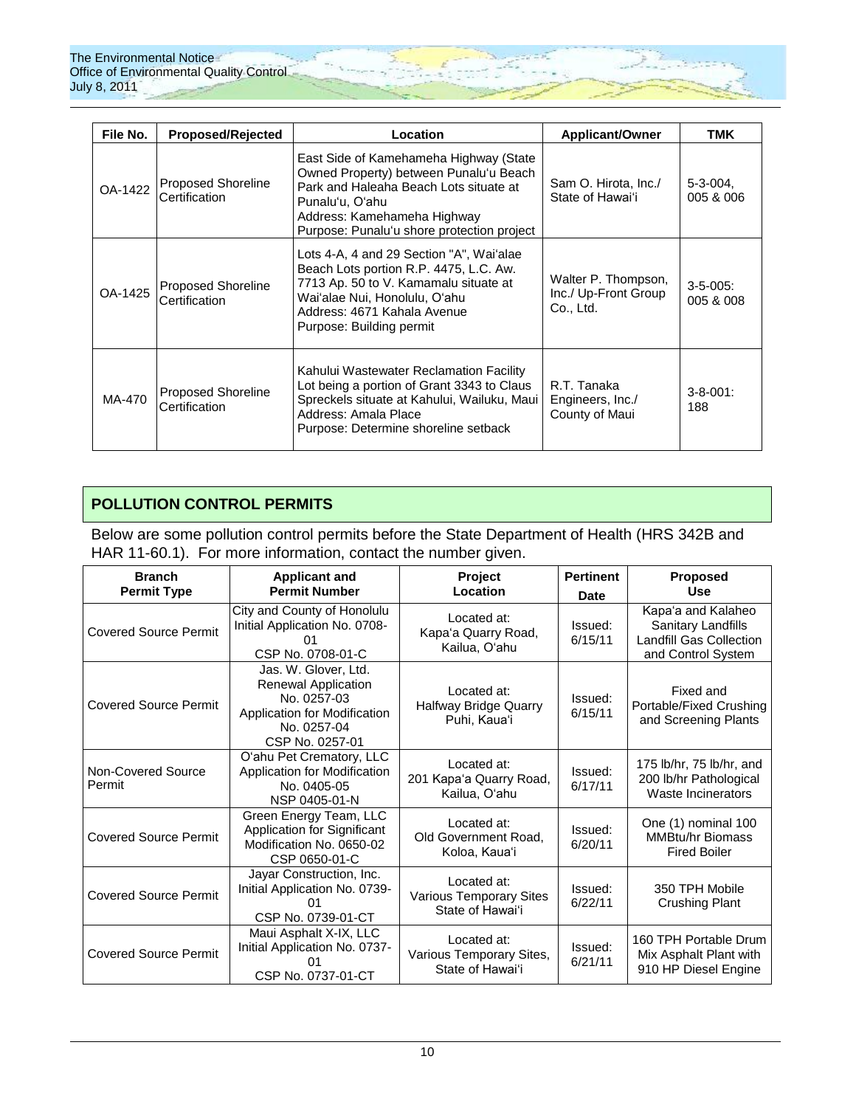| File No. | <b>Proposed/Rejected</b>                   | Location                                                                                                                                                                                                                   | <b>Applicant/Owner</b>                                   | TMK                        |
|----------|--------------------------------------------|----------------------------------------------------------------------------------------------------------------------------------------------------------------------------------------------------------------------------|----------------------------------------------------------|----------------------------|
| OA-1422  | Proposed Shoreline<br>Certification        | East Side of Kamehameha Highway (State<br>Owned Property) between Punalu'u Beach<br>Park and Haleaha Beach Lots situate at<br>Punalu'u, O'ahu<br>Address: Kamehameha Highway<br>Purpose: Punalu'u shore protection project | Sam O. Hirota, Inc./<br>State of Hawai'i                 | $5 - 3 - 004$<br>005 & 006 |
| OA-1425  | Proposed Shoreline<br>Certification        | Lots 4-A, 4 and 29 Section "A", Waiʻalae<br>Beach Lots portion R.P. 4475, L.C. Aw.<br>7713 Ap. 50 to V. Kamamalu situate at<br>Waiʻalae Nui, Honolulu, Oʻahu<br>Address: 4671 Kahala Avenue<br>Purpose: Building permit    | Walter P. Thompson,<br>Inc./ Up-Front Group<br>Co., Ltd. | $3-5-005$ :<br>005 & 008   |
| MA-470   | <b>Proposed Shoreline</b><br>Certification | Kahului Wastewater Reclamation Facility<br>Lot being a portion of Grant 3343 to Claus<br>Spreckels situate at Kahului, Wailuku, Maui<br>Address: Amala Place<br>Purpose: Determine shoreline setback                       | R.T. Tanaka<br>Engineers, Inc./<br>County of Maui        | $3 - 8 - 001$ :<br>188     |

# **POLLUTION CONTROL PERMITS**

Below are some pollution control permits before the State Department of Health (HRS 342B and HAR 11-60.1). For more information, contact the number given.

| <b>Branch</b><br><b>Permit Type</b> | <b>Applicant and</b><br><b>Permit Number</b>                                                                                        | Project<br>Location                                               | <b>Pertinent</b><br>Date | <b>Proposed</b><br><b>Use</b>                                                                    |
|-------------------------------------|-------------------------------------------------------------------------------------------------------------------------------------|-------------------------------------------------------------------|--------------------------|--------------------------------------------------------------------------------------------------|
| <b>Covered Source Permit</b>        | City and County of Honolulu<br>Initial Application No. 0708-<br>CSP No. 0708-01-C                                                   | Located at:<br>Kapa'a Quarry Road,<br>Kailua, O'ahu               | Issued:<br>6/15/11       | Kapa'a and Kalaheo<br>Sanitary Landfills<br><b>Landfill Gas Collection</b><br>and Control System |
| <b>Covered Source Permit</b>        | Jas. W. Glover, Ltd.<br><b>Renewal Application</b><br>No. 0257-03<br>Application for Modification<br>No. 0257-04<br>CSP No. 0257-01 | Located at:<br><b>Halfway Bridge Quarry</b><br>Puhi, Kaua'i       | Issued:<br>6/15/11       | Fixed and<br>Portable/Fixed Crushing<br>and Screening Plants                                     |
| Non-Covered Source<br>Permit        | O'ahu Pet Crematory, LLC<br>Application for Modification<br>No. 0405-05<br>NSP 0405-01-N                                            | Located at:<br>201 Kapa'a Quarry Road,<br>Kailua, O'ahu           | Issued:<br>6/17/11       | 175 lb/hr, 75 lb/hr, and<br>200 lb/hr Pathological<br>Waste Incinerators                         |
| <b>Covered Source Permit</b>        | Green Energy Team, LLC<br>Application for Significant<br>Modification No. 0650-02<br>CSP 0650-01-C                                  | Located at:<br>Old Government Road,<br>Koloa, Kaua'i              | Issued:<br>6/20/11       | One (1) nominal 100<br><b>MMBtu/hr Biomass</b><br><b>Fired Boiler</b>                            |
| <b>Covered Source Permit</b>        | Jayar Construction, Inc.<br>Initial Application No. 0739-<br>CSP No. 0739-01-CT                                                     | Located at:<br><b>Various Temporary Sites</b><br>State of Hawai'i | Issued:<br>6/22/11       | 350 TPH Mobile<br><b>Crushing Plant</b>                                                          |
| <b>Covered Source Permit</b>        | Maui Asphalt X-IX, LLC<br>Initial Application No. 0737-<br>()1<br>CSP No. 0737-01-CT                                                | Located at:<br>Various Temporary Sites,<br>State of Hawai'i       | Issued:<br>6/21/11       | 160 TPH Portable Drum<br>Mix Asphalt Plant with<br>910 HP Diesel Engine                          |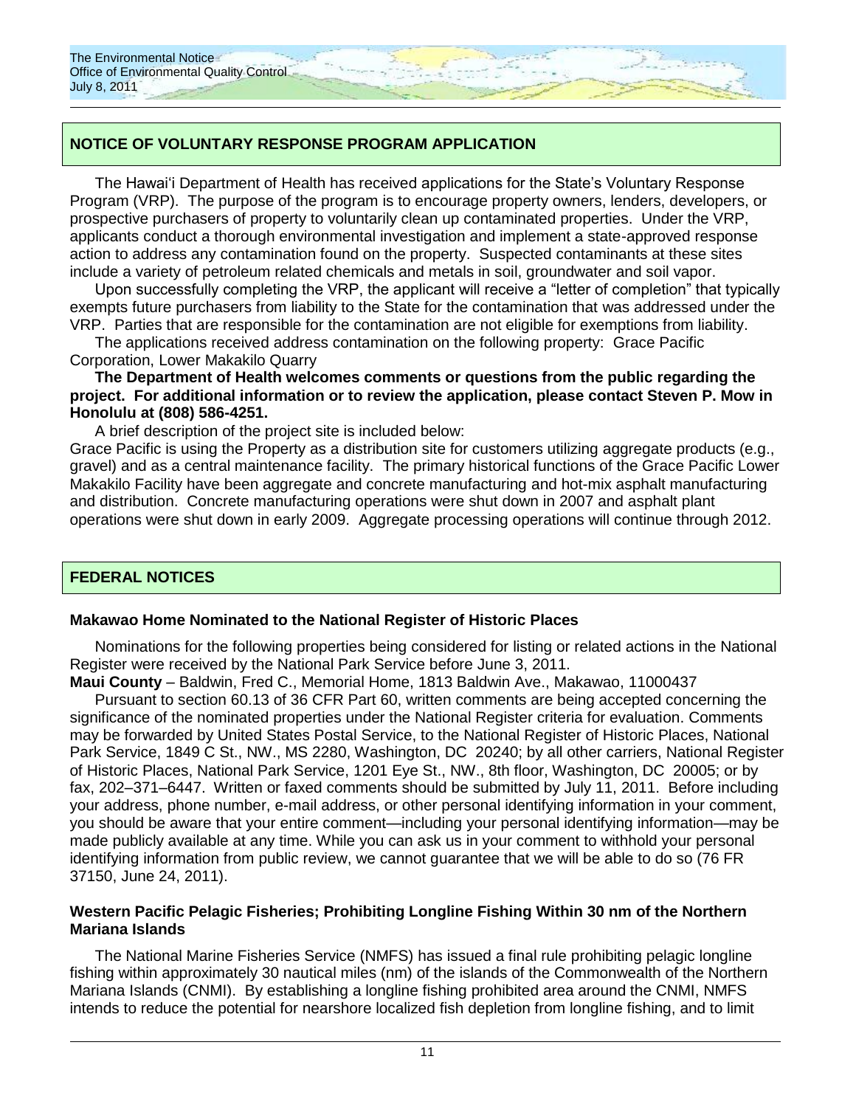# **NOTICE OF VOLUNTARY RESPONSE PROGRAM APPLICATION**

The Hawaiʻi Department of Health has received applications for the State's Voluntary Response Program (VRP). The purpose of the program is to encourage property owners, lenders, developers, or prospective purchasers of property to voluntarily clean up contaminated properties. Under the VRP, applicants conduct a thorough environmental investigation and implement a state-approved response action to address any contamination found on the property. Suspected contaminants at these sites include a variety of petroleum related chemicals and metals in soil, groundwater and soil vapor.

Upon successfully completing the VRP, the applicant will receive a "letter of completion" that typically exempts future purchasers from liability to the State for the contamination that was addressed under the VRP. Parties that are responsible for the contamination are not eligible for exemptions from liability.

The applications received address contamination on the following property: Grace Pacific Corporation, Lower Makakilo Quarry

### **The Department of Health welcomes comments or questions from the public regarding the project. For additional information or to review the application, please contact Steven P. Mow in Honolulu at (808) 586-4251.**

A brief description of the project site is included below:

Grace Pacific is using the Property as a distribution site for customers utilizing aggregate products (e.g., gravel) and as a central maintenance facility. The primary historical functions of the Grace Pacific Lower Makakilo Facility have been aggregate and concrete manufacturing and hot-mix asphalt manufacturing and distribution. Concrete manufacturing operations were shut down in 2007 and asphalt plant operations were shut down in early 2009. Aggregate processing operations will continue through 2012.

# **FEDERAL NOTICES**

### **Makawao Home Nominated to the National Register of Historic Places**

Nominations for the following properties being considered for listing or related actions in the National Register were received by the National Park Service before June 3, 2011.

**Maui County** – Baldwin, Fred C., Memorial Home, 1813 Baldwin Ave., Makawao, 11000437 Pursuant to section 60.13 of 36 CFR Part 60, written comments are being accepted concerning the significance of the nominated properties under the National Register criteria for evaluation. Comments may be forwarded by United States Postal Service, to the National Register of Historic Places, National Park Service, 1849 C St., NW., MS 2280, Washington, DC 20240; by all other carriers, National Register of Historic Places, National Park Service, 1201 Eye St., NW., 8th floor, Washington, DC 20005; or by fax, 202–371–6447. Written or faxed comments should be submitted by July 11, 2011. Before including your address, phone number, e-mail address, or other personal identifying information in your comment, you should be aware that your entire comment—including your personal identifying information—may be made publicly available at any time. While you can ask us in your comment to withhold your personal identifying information from public review, we cannot guarantee that we will be able to do so (76 FR 37150, June 24, 2011).

### **Western Pacific Pelagic Fisheries; Prohibiting Longline Fishing Within 30 nm of the Northern Mariana Islands**

The National Marine Fisheries Service (NMFS) has issued a final rule prohibiting pelagic longline fishing within approximately 30 nautical miles (nm) of the islands of the Commonwealth of the Northern Mariana Islands (CNMI). By establishing a longline fishing prohibited area around the CNMI, NMFS intends to reduce the potential for nearshore localized fish depletion from longline fishing, and to limit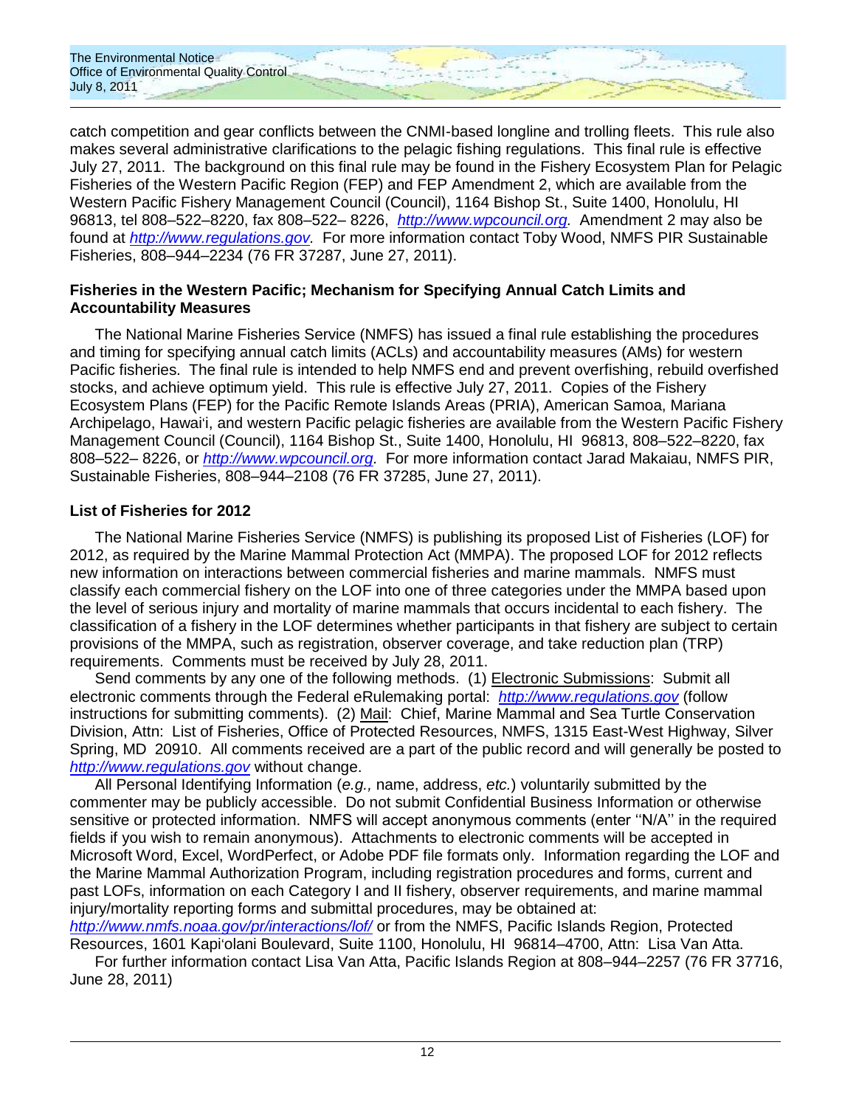

catch competition and gear conflicts between the CNMI-based longline and trolling fleets. This rule also makes several administrative clarifications to the pelagic fishing regulations. This final rule is effective July 27, 2011. The background on this final rule may be found in the Fishery Ecosystem Plan for Pelagic Fisheries of the Western Pacific Region (FEP) and FEP Amendment 2, which are available from the Western Pacific Fishery Management Council (Council), 1164 Bishop St., Suite 1400, Honolulu, HI 96813, tel 808–522–8220, fax 808–522– 8226, *[http://www.wpcouncil.org.](http://www.wpcouncil.org/)* Amendment 2 may also be found at *[http://www.regulations.gov.](http://www.regulations.gov/)* For more information contact Toby Wood, NMFS PIR Sustainable Fisheries, 808–944–2234 (76 FR 37287, June 27, 2011).

### **Fisheries in the Western Pacific; Mechanism for Specifying Annual Catch Limits and Accountability Measures**

The National Marine Fisheries Service (NMFS) has issued a final rule establishing the procedures and timing for specifying annual catch limits (ACLs) and accountability measures (AMs) for western Pacific fisheries. The final rule is intended to help NMFS end and prevent overfishing, rebuild overfished stocks, and achieve optimum yield. This rule is effective July 27, 2011. Copies of the Fishery Ecosystem Plans (FEP) for the Pacific Remote Islands Areas (PRIA), American Samoa, Mariana Archipelago, Hawaiʻi, and western Pacific pelagic fisheries are available from the Western Pacific Fishery Management Council (Council), 1164 Bishop St., Suite 1400, Honolulu, HI 96813, 808–522–8220, fax 808–522– 8226, or *[http://www.wpcouncil.org.](http://www.wpcouncil.org/)* For more information contact Jarad Makaiau, NMFS PIR, Sustainable Fisheries, 808–944–2108 (76 FR 37285, June 27, 2011).

### **List of Fisheries for 2012**

The National Marine Fisheries Service (NMFS) is publishing its proposed List of Fisheries (LOF) for 2012, as required by the Marine Mammal Protection Act (MMPA). The proposed LOF for 2012 reflects new information on interactions between commercial fisheries and marine mammals. NMFS must classify each commercial fishery on the LOF into one of three categories under the MMPA based upon the level of serious injury and mortality of marine mammals that occurs incidental to each fishery. The classification of a fishery in the LOF determines whether participants in that fishery are subject to certain provisions of the MMPA, such as registration, observer coverage, and take reduction plan (TRP) requirements. Comments must be received by July 28, 2011.

Send comments by any one of the following methods. (1) Electronic Submissions: Submit all electronic comments through the Federal eRulemaking portal: *[http://www.regulations.gov](http://www.regulations.gov/)* (follow instructions for submitting comments). (2) Mail: Chief, Marine Mammal and Sea Turtle Conservation Division, Attn: List of Fisheries, Office of Protected Resources, NMFS, 1315 East-West Highway, Silver Spring, MD 20910. All comments received are a part of the public record and will generally be posted to *[http://www.regulations.gov](http://www.regulations.gov/)* without change.

All Personal Identifying Information (*e.g.,* name, address, *etc.*) voluntarily submitted by the commenter may be publicly accessible. Do not submit Confidential Business Information or otherwise sensitive or protected information. NMFS will accept anonymous comments (enter "N/A" in the required fields if you wish to remain anonymous). Attachments to electronic comments will be accepted in Microsoft Word, Excel, WordPerfect, or Adobe PDF file formats only. Information regarding the LOF and the Marine Mammal Authorization Program, including registration procedures and forms, current and past LOFs, information on each Category I and II fishery, observer requirements, and marine mammal injury/mortality reporting forms and submittal procedures, may be obtained at:

*<http://www.nmfs.noaa.gov/pr/interactions/lof/>* or from the NMFS, Pacific Islands Region, Protected Resources, 1601 Kapiʻolani Boulevard, Suite 1100, Honolulu, HI 96814–4700, Attn: Lisa Van Atta.

For further information contact Lisa Van Atta, Pacific Islands Region at 808–944–2257 (76 FR 37716, June 28, 2011)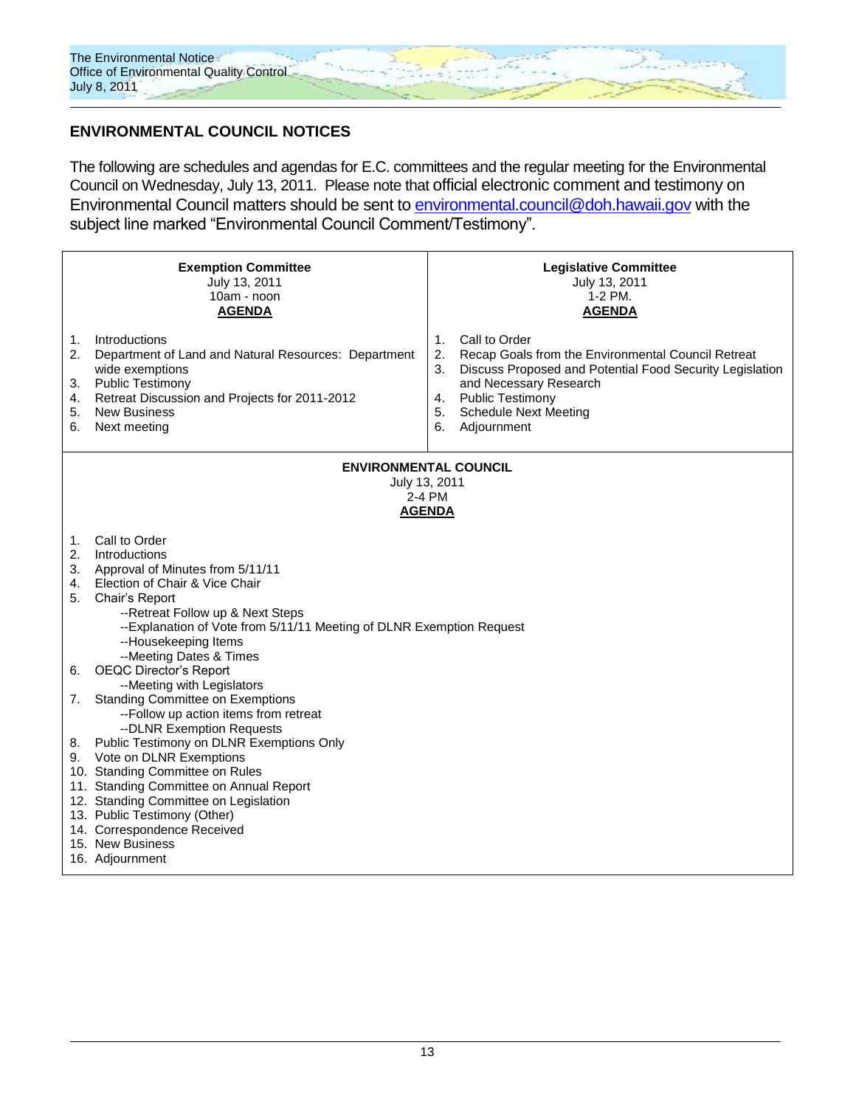

# **ENVIRONMENTAL COUNCIL NOTICES**

The following are schedules and agendas for E.C. committees and the regular meeting for the Environmental Council on Wednesday, July 13, 2011. Please note that official electronic comment and testimony on Environmental Council matters should be sent to [environmental.council@doh.hawaii.gov](mailto:environmental.council@doh.hawaii.gov) with the subject line marked "Environmental Council Comment/Testimony".

| <b>Exemption Committee</b><br>July 13, 2011<br>10am - noon<br><b>AGENDA</b>                                                                                                                                                                                                                                                                                                                                                                                                                                                                                                                                                                                                                                                                                                                                                     | <b>Legislative Committee</b><br>July 13, 2011<br>1-2 PM.<br><b>AGENDA</b>                                                                                                                                                                                                           |  |  |  |  |  |
|---------------------------------------------------------------------------------------------------------------------------------------------------------------------------------------------------------------------------------------------------------------------------------------------------------------------------------------------------------------------------------------------------------------------------------------------------------------------------------------------------------------------------------------------------------------------------------------------------------------------------------------------------------------------------------------------------------------------------------------------------------------------------------------------------------------------------------|-------------------------------------------------------------------------------------------------------------------------------------------------------------------------------------------------------------------------------------------------------------------------------------|--|--|--|--|--|
| Introductions<br>1.<br>2.<br>Department of Land and Natural Resources: Department<br>wide exemptions<br><b>Public Testimony</b><br>3.<br>Retreat Discussion and Projects for 2011-2012<br>4.<br><b>New Business</b><br>5.<br>Next meeting<br>6.                                                                                                                                                                                                                                                                                                                                                                                                                                                                                                                                                                                 | Call to Order<br>$\mathbf{1}$ .<br>2.<br>Recap Goals from the Environmental Council Retreat<br>3.<br>Discuss Proposed and Potential Food Security Legislation<br>and Necessary Research<br><b>Public Testimony</b><br>4.<br>5.<br><b>Schedule Next Meeting</b><br>6.<br>Adjournment |  |  |  |  |  |
| <b>ENVIRONMENTAL COUNCIL</b><br>July 13, 2011                                                                                                                                                                                                                                                                                                                                                                                                                                                                                                                                                                                                                                                                                                                                                                                   |                                                                                                                                                                                                                                                                                     |  |  |  |  |  |
| 2-4 PM<br><b>AGENDA</b>                                                                                                                                                                                                                                                                                                                                                                                                                                                                                                                                                                                                                                                                                                                                                                                                         |                                                                                                                                                                                                                                                                                     |  |  |  |  |  |
| Call to Order<br>1.<br>2.<br>Introductions<br>3.<br>Approval of Minutes from 5/11/11<br>Election of Chair & Vice Chair<br>4.<br>5.<br>Chair's Report<br>--Retreat Follow up & Next Steps<br>--Explanation of Vote from 5/11/11 Meeting of DLNR Exemption Request<br>--Housekeeping Items<br>--Meeting Dates & Times<br><b>OEQC Director's Report</b><br>6.<br>--Meeting with Legislators<br><b>Standing Committee on Exemptions</b><br>7.<br>--Follow up action items from retreat<br>--DLNR Exemption Requests<br>Public Testimony on DLNR Exemptions Only<br>8.<br>Vote on DLNR Exemptions<br>9.<br>10. Standing Committee on Rules<br>11. Standing Committee on Annual Report<br>12. Standing Committee on Legislation<br>13. Public Testimony (Other)<br>14. Correspondence Received<br>15. New Business<br>16. Adjournment |                                                                                                                                                                                                                                                                                     |  |  |  |  |  |